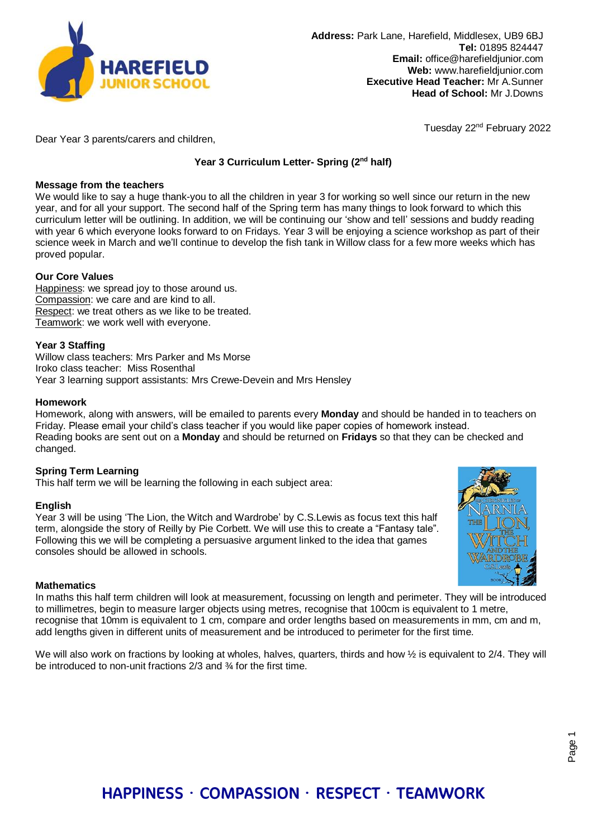

Tuesday 22nd February 2022

Dear Year 3 parents/carers and children,

# **Year 3 Curriculum Letter- Spring (2nd half)**

#### **Message from the teachers**

We would like to say a huge thank-you to all the children in year 3 for working so well since our return in the new year, and for all your support. The second half of the Spring term has many things to look forward to which this curriculum letter will be outlining. In addition, we will be continuing our 'show and tell' sessions and buddy reading with year 6 which everyone looks forward to on Fridays. Year 3 will be enjoying a science workshop as part of their science week in March and we'll continue to develop the fish tank in Willow class for a few more weeks which has proved popular.

# **Our Core Values**

Happiness: we spread joy to those around us. Compassion: we care and are kind to all. Respect: we treat others as we like to be treated. Teamwork: we work well with everyone.

# **Year 3 Staffing**

Willow class teachers: Mrs Parker and Ms Morse Iroko class teacher: Miss Rosenthal Year 3 learning support assistants: Mrs Crewe-Devein and Mrs Hensley

#### **Homework**

Homework, along with answers, will be emailed to parents every **Monday** and should be handed in to teachers on Friday. Please email your child's class teacher if you would like paper copies of homework instead. Reading books are sent out on a **Monday** and should be returned on **Fridays** so that they can be checked and changed.

# **Spring Term Learning**

This half term we will be learning the following in each subject area:

#### **English**

Year 3 will be using 'The Lion, the Witch and Wardrobe' by C.S.Lewis as focus text this half term, alongside the story of Reilly by Pie Corbett. We will use this to create a "Fantasy tale". Following this we will be completing a persuasive argument linked to the idea that games consoles should be allowed in schools.



#### **Mathematics**

In maths this half term children will look at measurement, focussing on length and perimeter. They will be introduced to millimetres, begin to measure larger objects using metres, recognise that 100cm is equivalent to 1 metre, recognise that 10mm is equivalent to 1 cm, compare and order lengths based on measurements in mm, cm and m, add lengths given in different units of measurement and be introduced to perimeter for the first time.

We will also work on fractions by looking at wholes, halves, quarters, thirds and how  $\frac{1}{2}$  is equivalent to 2/4. They will be introduced to non-unit fractions 2/3 and <sup>3</sup>/<sub>4</sub> for the first time.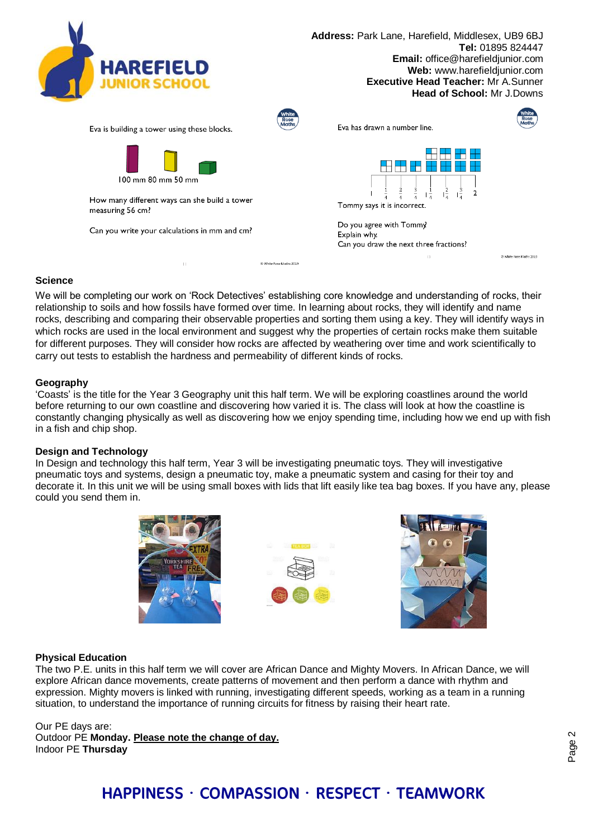

**Address:** Park Lane, Harefield, Middlesex, UB9 6BJ **Tel:** 01895 824447 **Email:** office@harefieldjunior.com **Web:** www.harefieldjunior.com **Executive Head Teacher:** Mr A.Sunner **Head of School:** Mr J.Downs



C White Rose Maths 2019

Eva is building a tower using these blocks.



How many different ways can she build a tower measuring 56 cm?

Can you write your calculations in mm and cm?



# **Science**

We will be completing our work on 'Rock Detectives' establishing core knowledge and understanding of rocks, their relationship to soils and how fossils have formed over time. In learning about rocks, they will identify and name rocks, describing and comparing their observable properties and sorting them using a key. They will identify ways in which rocks are used in the local environment and suggest why the properties of certain rocks make them suitable for different purposes. They will consider how rocks are affected by weathering over time and work scientifically to carry out tests to establish the hardness and permeability of different kinds of rocks.

C White Rose Maths 2019

#### **Geography**

'Coasts' is the title for the Year 3 Geography unit this half term. We will be exploring coastlines around the world before returning to our own coastline and discovering how varied it is. The class will look at how the coastline is constantly changing physically as well as discovering how we enjoy spending time, including how we end up with fish in a fish and chip shop.

#### **Design and Technology**

In Design and technology this half term, Year 3 will be investigating pneumatic toys. They will investigative pneumatic toys and systems, design a pneumatic toy, make a pneumatic system and casing for their toy and decorate it. In this unit we will be using small boxes with lids that lift easily like tea bag boxes. If you have any, please could you send them in.







#### **Physical Education**

The two P.E. units in this half term we will cover are African Dance and Mighty Movers. In African Dance, we will explore African dance movements, create patterns of movement and then perform a dance with rhythm and expression. Mighty movers is linked with running, investigating different speeds, working as a team in a running situation, to understand the importance of running circuits for fitness by raising their heart rate.

Our PE days are: Outdoor PE **Monday. Please note the change of day.** Indoor PE **Thursday**

# HAPPINESS · COMPASSION · RESPECT · TEAMWORK